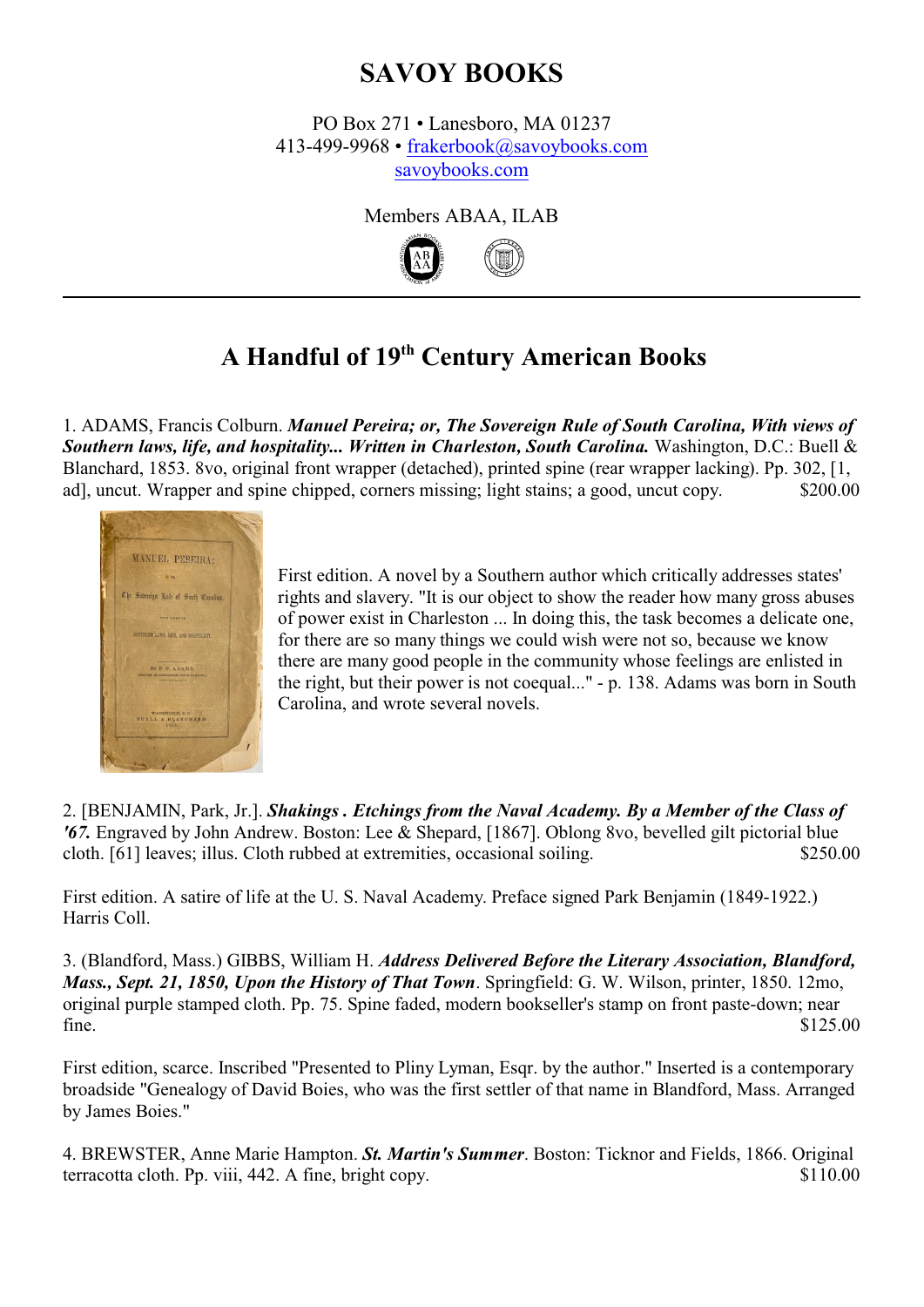## **SAVOY BOOKS**

PO Box 271 • Lanesboro, MA 01237 413-499-9968 • [frakerbook@savoybooks.com](mailto:frakerbook@savoybooks.com) [savoybooks.com](http://savoybooks.com)

Members ABAA, ILAB



## **A Handful of 19th Century American Books**

1. ADAMS, Francis Colburn. *Manuel Pereira; or, The Sovereign Rule of South Carolina, With views of Southern laws, life, and hospitality... Written in Charleston, South Carolina.* Washington, D.C.: Buell & Blanchard, 1853. 8vo, original front wrapper (detached), printed spine (rear wrapper lacking). Pp. 302, [1, ad], uncut. Wrapper and spine chipped, corners missing; light stains; a good, uncut copy. \$200.00



First edition. A novel by a Southern author which critically addresses states' rights and slavery. "It is our object to show the reader how many gross abuses of power exist in Charleston ... In doing this, the task becomes a delicate one, for there are so many things we could wish were not so, because we know there are many good people in the community whose feelings are enlisted in the right, but their power is not coequal..." - p. 138. Adams was born in South Carolina, and wrote several novels.

2. [BENJAMIN, Park, Jr.]. *Shakings . Etchings from the Naval Academy. By a Member of the Class of '67.* Engraved by John Andrew. Boston: Lee & Shepard, [1867]. Oblong 8vo, bevelled gilt pictorial blue cloth. [61] leaves; illus. Cloth rubbed at extremities, occasional soiling. \$250.00

First edition. A satire of life at the U. S. Naval Academy. Preface signed Park Benjamin (1849-1922.) Harris Coll.

3. (Blandford, Mass.) GIBBS, William H. *Address Delivered Before the Literary Association, Blandford, Mass., Sept. 21, 1850, Upon the History of That Town*. Springfield: G. W. Wilson, printer, 1850. 12mo, original purple stamped cloth. Pp. 75. Spine faded, modern bookseller's stamp on front paste-down; near  $\text{fine.}$   $\$125.00$ 

First edition, scarce. Inscribed "Presented to Pliny Lyman, Esqr. by the author." Inserted is a contemporary broadside "Genealogy of David Boies, who was the first settler of that name in Blandford, Mass. Arranged by James Boies."

4. BREWSTER, Anne Marie Hampton. *St. Martin's Summer*. Boston: Ticknor and Fields, 1866. Original terracotta cloth. Pp. viii, 442. A fine, bright copy. \$110.00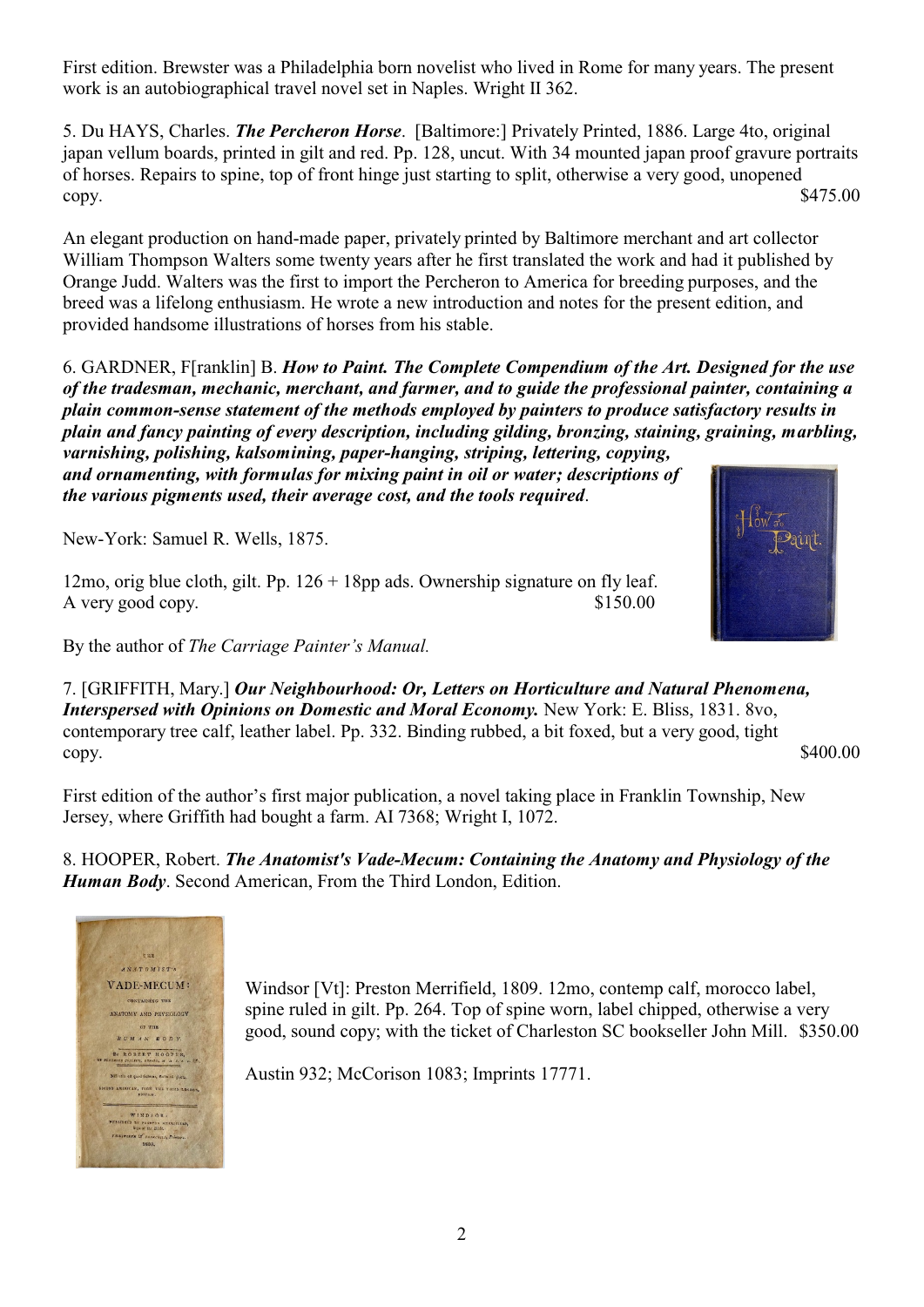First edition. Brewster was a Philadelphia born novelist who lived in Rome for many years. The present work is an autobiographical travel novel set in Naples. Wright II 362.

5. Du HAYS, Charles. *The Percheron Horse*. [Baltimore:] Privately Printed, 1886. Large 4to, original japan vellum boards, printed in gilt and red. Pp. 128, uncut. With 34 mounted japan proof gravure portraits of horses. Repairs to spine, top of front hinge just starting to split, otherwise a very good, unopened  $\omega$  states to the set of the set of the set of the set of the set of the set of the set of the set of the set of the set of the set of the set of the set of the set of the set of the set of the set of the set of the set

An elegant production on hand-made paper, privately printed by Baltimore merchant and art collector William Thompson Walters some twenty years after he first translated the work and had it published by Orange Judd. Walters was the first to import the Percheron to America for breeding purposes, and the breed was a lifelong enthusiasm. He wrote a new introduction and notes for the present edition, and provided handsome illustrations of horses from his stable.

6. GARDNER, F[ranklin] B. *How to Paint. The Complete Compendium of the Art. Designed for the use of the tradesman, mechanic, merchant, and farmer, and to guide the professional painter, containing a plain common-sense statement of the methods employed by painters to produce satisfactory results in plain and fancy painting of every description, including gilding, bronzing, staining, graining, marbling, varnishing, polishing, kalsomining, paper-hanging, striping, lettering, copying,*

*and ornamenting, with formulas for mixing paint in oil or water; descriptions of the various pigments used, their average cost, and the tools required*.

New-York: Samuel R. Wells, 1875.

12mo, orig blue cloth, gilt. Pp.  $126 + 18$ pp ads. Ownership signature on fly leaf. A very good copy.  $$150.00$ 

By the author of *The Carriage Painter's Manual.*

7. [GRIFFITH, Mary.] *Our Neighbourhood: Or, Letters on Horticulture and Natural Phenomena, Interspersed with Opinions on Domestic and Moral Economy.* New York: E. Bliss, 1831. 8vo, contemporary tree calf, leather label. Pp. 332. Binding rubbed, a bit foxed, but a very good, tight  $\omega$ , states to the set of the set of the set of the set of the set of the set of the set of the set of the set of the set of the set of the set of the set of the set of the set of the set of the set of the set of the set

First edition of the author's first major publication, a novel taking place in Franklin Township, New Jersey, where Griffith had bought a farm. AI 7368; Wright I, 1072.

8. HOOPER, Robert. *The Anatomist's Vade-Mecum: Containing the Anatomy and Physiology of the Human Body*. Second American, From the Third London, Edition.



Windsor [Vt]: Preston Merrifield, 1809. 12mo, contemp calf, morocco label, spine ruled in gilt. Pp. 264. Top of spine worn, label chipped, otherwise a very good, sound copy; with the ticket of Charleston SC bookseller John Mill. \$350.00

Austin 932; McCorison 1083; Imprints 17771.

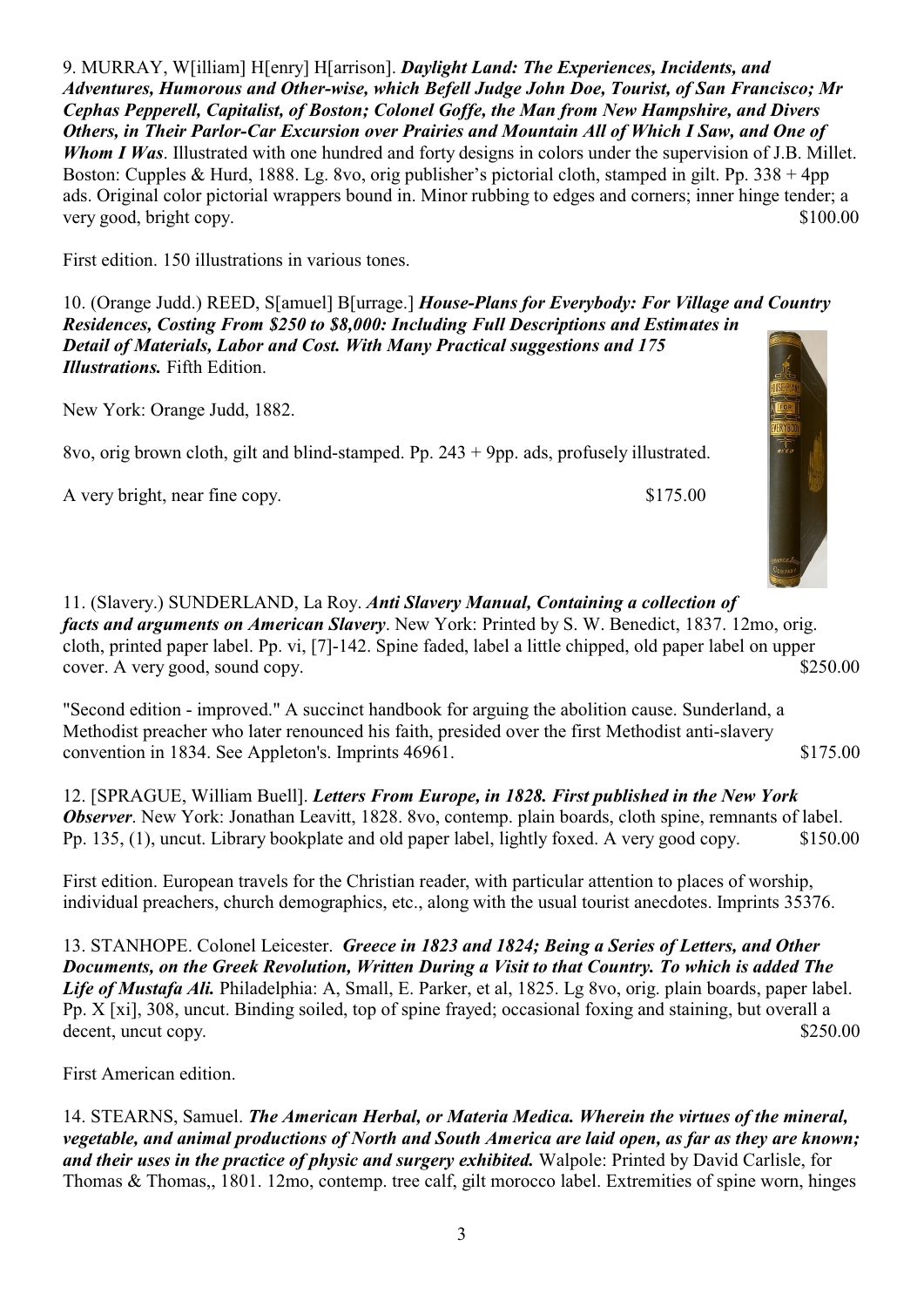9. MURRAY, W[illiam] H[enry] H[arrison]. *Daylight Land: The Experiences, Incidents, and Adventures, Humorous and Other-wise, which Befell Judge John Doe, Tourist, of San Francisco; Mr Cephas Pepperell, Capitalist, of Boston; Colonel Goffe, the Man from New Hampshire, and Divers Others, in Their Parlor-Car Excursion over Prairies and Mountain All of Which I Saw, and One of Whom I Was*. Illustrated with one hundred and forty designs in colors under the supervision of J.B. Millet. Boston: Cupples & Hurd, 1888. Lg. 8vo, orig publisher's pictorial cloth, stamped in gilt. Pp. 338 + 4pp ads. Original color pictorial wrappers bound in. Minor rubbing to edges and corners; inner hinge tender; a very good, bright copy.  $$100.00$ 

First edition. 150 illustrations in various tones.

10. (Orange Judd.) REED, S[amuel] B[urrage.] *House-Plans for Everybody: For Village and Country Residences, Costing From \$250 to \$8,000: Including Full Descriptions and Estimates in Detail of Materials, Labor and Cost. With Many Practical suggestions and 175 Illustrations.* Fifth Edition.

New York: Orange Judd, 1882.

8vo, orig brown cloth, gilt and blind-stamped. Pp. 243 + 9pp. ads, profusely illustrated.

A very bright, near fine copy.  $$175.00$ 

11. (Slavery.) SUNDERLAND, La Roy. *Anti Slavery Manual, Containing a collection of facts and arguments on American Slavery*. New York: Printed by S. W. Benedict, 1837. 12mo, orig. cloth, printed paper label. Pp. vi, [7]-142. Spine faded, label a little chipped, old paper label on upper cover. A very good, sound copy.  $$250.00$ 

"Second edition - improved." A succinct handbook for arguing the abolition cause. Sunderland, a Methodist preacher who later renounced his faith, presided over the first Methodist anti-slavery convention in 1834. See Appleton's. Imprints 46961. \$175.00

12. [SPRAGUE, William Buell]. *Letters From Europe, in 1828. First published in the New York Observer*. New York: Jonathan Leavitt, 1828. 8vo, contemp. plain boards, cloth spine, remnants of label. Pp. 135, (1), uncut. Library bookplate and old paper label, lightly foxed. A very good copy. \$150.00

First edition. European travels for the Christian reader, with particular attention to places of worship, individual preachers, church demographics, etc., along with the usual tourist anecdotes. Imprints 35376.

13. STANHOPE. Colonel Leicester. *Greece in 1823 and 1824; Being a Series of Letters, and Other Documents, on the Greek Revolution, Written During a Visit to that Country. To which is added The Life of Mustafa Ali.* Philadelphia: A, Small, E. Parker, et al, 1825. Lg 8vo, orig. plain boards, paper label. Pp. X [xi], 308, uncut. Binding soiled, top of spine frayed; occasional foxing and staining, but overall a decent, uncut copy.  $$250.00$ 

First American edition.

14. STEARNS, Samuel. *The American Herbal, or Materia Medica. Wherein the virtues of the mineral, vegetable, and animal productions of North and South America are laid open, as far as they are known; and their uses in the practice of physic and surgery exhibited.* Walpole: Printed by David Carlisle, for Thomas & Thomas,, 1801. 12mo, contemp. tree calf, gilt morocco label. Extremities of spine worn, hinges